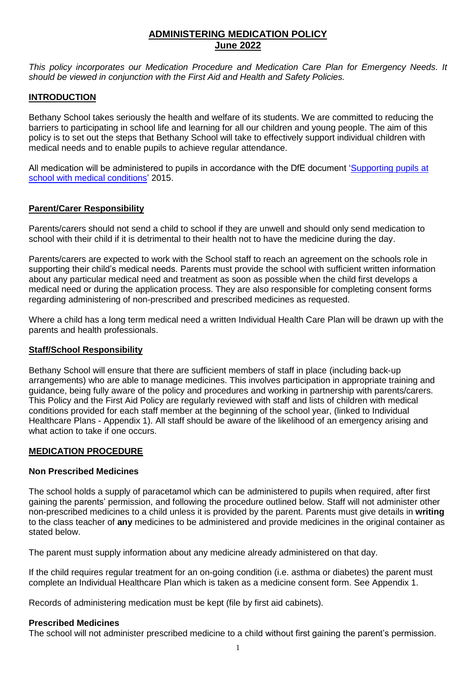# **ADMINISTERING MEDICATION POLICY June 2022**

*This policy incorporates our Medication Procedure and Medication Care Plan for Emergency Needs. It should be viewed in conjunction with the First Aid and Health and Safety Policies.*

## **INTRODUCTION**

Bethany School takes seriously the health and welfare of its students. We are committed to reducing the barriers to participating in school life and learning for all our children and young people. The aim of this policy is to set out the steps that Bethany School will take to effectively support individual children with medical needs and to enable pupils to achieve regular attendance.

All medication will be administered to pupils in accordance with the DfE document ['Supporting pupils at](https://www.gov.uk/government/publications/supporting-pupils-at-school-with-medical-conditions/)  [school with medical conditions'](https://www.gov.uk/government/publications/supporting-pupils-at-school-with-medical-conditions/) 2015.

## **Parent/Carer Responsibility**

Parents/carers should not send a child to school if they are unwell and should only send medication to school with their child if it is detrimental to their health not to have the medicine during the day.

Parents/carers are expected to work with the School staff to reach an agreement on the schools role in supporting their child's medical needs. Parents must provide the school with sufficient written information about any particular medical need and treatment as soon as possible when the child first develops a medical need or during the application process. They are also responsible for completing consent forms regarding administering of non-prescribed and prescribed medicines as requested.

Where a child has a long term medical need a written Individual Health Care Plan will be drawn up with the parents and health professionals.

#### **Staff/School Responsibility**

Bethany School will ensure that there are sufficient members of staff in place (including back-up arrangements) who are able to manage medicines. This involves participation in appropriate training and guidance, being fully aware of the policy and procedures and working in partnership with parents/carers. This Policy and the First Aid Policy are regularly reviewed with staff and lists of children with medical conditions provided for each staff member at the beginning of the school year, (linked to Individual Healthcare Plans - Appendix 1). All staff should be aware of the likelihood of an emergency arising and what action to take if one occurs.

#### **MEDICATION PROCEDURE**

#### **Non Prescribed Medicines**

The school holds a supply of paracetamol which can be administered to pupils when required, after first gaining the parents' permission, and following the procedure outlined below. Staff will not administer other non-prescribed medicines to a child unless it is provided by the parent. Parents must give details in **writing** to the class teacher of **any** medicines to be administered and provide medicines in the original container as stated below.

The parent must supply information about any medicine already administered on that day.

If the child requires regular treatment for an on-going condition (i.e. asthma or diabetes) the parent must complete an Individual Healthcare Plan which is taken as a medicine consent form. See Appendix 1.

Records of administering medication must be kept (file by first aid cabinets).

#### **Prescribed Medicines**

The school will not administer prescribed medicine to a child without first gaining the parent's permission.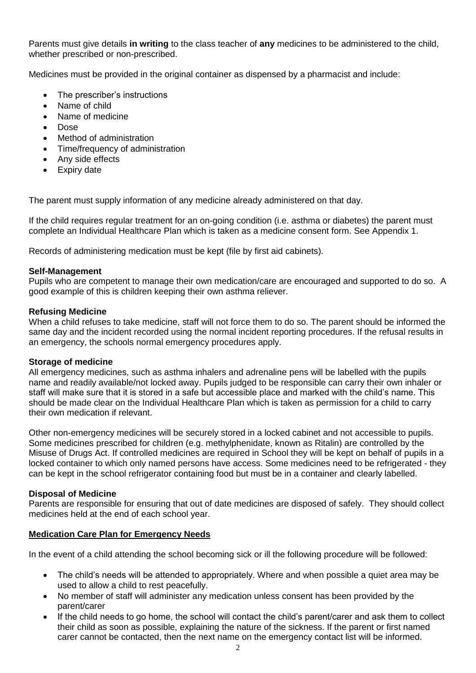Parents must give details **in writing** to the class teacher of **any** medicines to be administered to the child, whether prescribed or non-prescribed.

Medicines must be provided in the original container as dispensed by a pharmacist and include:

- The prescriber's instructions
- Name of child
- Name of medicine
- Dose
- Method of administration
- Time/frequency of administration
- Any side effects
- Expiry date

The parent must supply information of any medicine already administered on that day.

If the child requires regular treatment for an on-going condition (i.e. asthma or diabetes) the parent must complete an Individual Healthcare Plan which is taken as a medicine consent form. See Appendix 1.

Records of administering medication must be kept (file by first aid cabinets).

#### **Self-Management**

Pupils who are competent to manage their own medication/care are encouraged and supported to do so. A good example of this is children keeping their own asthma reliever.

#### **Refusing Medicine**

When a child refuses to take medicine, staff will not force them to do so. The parent should be informed the same day and the incident recorded using the normal incident reporting procedures. If the refusal results in an emergency, the schools normal emergency procedures apply.

#### **Storage of medicine**

All emergency medicines, such as asthma inhalers and adrenaline pens will be labelled with the pupils name and readily available/not locked away. Pupils judged to be responsible can carry their own inhaler or staff will make sure that it is stored in a safe but accessible place and marked with the child's name. This should be made clear on the Individual Healthcare Plan which is taken as permission for a child to carry their own medication if relevant.

Other non-emergency medicines will be securely stored in a locked cabinet and not accessible to pupils. Some medicines prescribed for children (e.g. methylphenidate, known as Ritalin) are controlled by the Misuse of Drugs Act. If controlled medicines are required in School they will be kept on behalf of pupils in a locked container to which only named persons have access. Some medicines need to be refrigerated - they can be kept in the school refrigerator containing food but must be in a container and clearly labelled.

#### **Disposal of Medicine**

Parents are responsible for ensuring that out of date medicines are disposed of safely. They should collect medicines held at the end of each school year.

#### **Medication Care Plan for Emergency Needs**

In the event of a child attending the school becoming sick or ill the following procedure will be followed:

- The child's needs will be attended to appropriately. Where and when possible a quiet area may be used to allow a child to rest peacefully.
- No member of staff will administer any medication unless consent has been provided by the parent/carer
- If the child needs to go home, the school will contact the child's parent/carer and ask them to collect their child as soon as possible, explaining the nature of the sickness. If the parent or first named carer cannot be contacted, then the next name on the emergency contact list will be informed.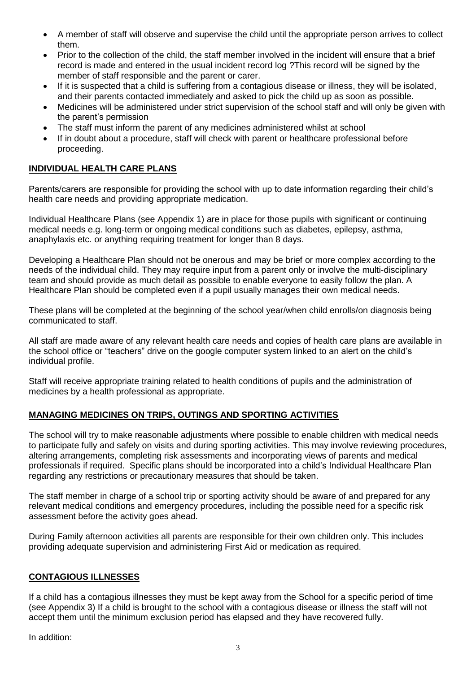- A member of staff will observe and supervise the child until the appropriate person arrives to collect them.
- Prior to the collection of the child, the staff member involved in the incident will ensure that a brief record is made and entered in the usual incident record log ?This record will be signed by the member of staff responsible and the parent or carer.
- If it is suspected that a child is suffering from a contagious disease or illness, they will be isolated, and their parents contacted immediately and asked to pick the child up as soon as possible.
- Medicines will be administered under strict supervision of the school staff and will only be given with the parent's permission
- The staff must inform the parent of any medicines administered whilst at school
- If in doubt about a procedure, staff will check with parent or healthcare professional before proceeding.

## **INDIVIDUAL HEALTH CARE PLANS**

Parents/carers are responsible for providing the school with up to date information regarding their child's health care needs and providing appropriate medication.

Individual Healthcare Plans (see Appendix 1) are in place for those pupils with significant or continuing medical needs e.g. long-term or ongoing medical conditions such as diabetes, epilepsy, asthma, anaphylaxis etc. or anything requiring treatment for longer than 8 days.

Developing a Healthcare Plan should not be onerous and may be brief or more complex according to the needs of the individual child. They may require input from a parent only or involve the multi-disciplinary team and should provide as much detail as possible to enable everyone to easily follow the plan. A Healthcare Plan should be completed even if a pupil usually manages their own medical needs.

These plans will be completed at the beginning of the school year/when child enrolls/on diagnosis being communicated to staff.

All staff are made aware of any relevant health care needs and copies of health care plans are available in the school office or "teachers" drive on the google computer system linked to an alert on the child's individual profile.

Staff will receive appropriate training related to health conditions of pupils and the administration of medicines by a health professional as appropriate.

# **MANAGING MEDICINES ON TRIPS, OUTINGS AND SPORTING ACTIVITIES**

The school will try to make reasonable adjustments where possible to enable children with medical needs to participate fully and safely on visits and during sporting activities. This may involve reviewing procedures, altering arrangements, completing risk assessments and incorporating views of parents and medical professionals if required. Specific plans should be incorporated into a child's Individual Healthcare Plan regarding any restrictions or precautionary measures that should be taken.

The staff member in charge of a school trip or sporting activity should be aware of and prepared for any relevant medical conditions and emergency procedures, including the possible need for a specific risk assessment before the activity goes ahead.

During Family afternoon activities all parents are responsible for their own children only. This includes providing adequate supervision and administering First Aid or medication as required.

#### **CONTAGIOUS ILLNESSES**

If a child has a contagious illnesses they must be kept away from the School for a specific period of time (see Appendix 3) If a child is brought to the school with a contagious disease or illness the staff will not accept them until the minimum exclusion period has elapsed and they have recovered fully.

In addition: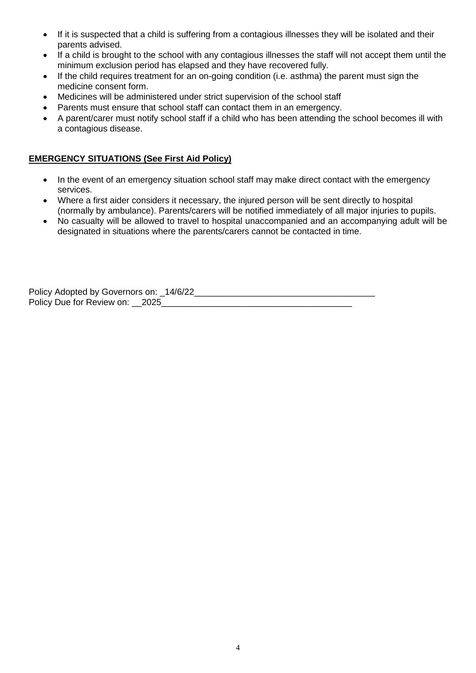- If it is suspected that a child is suffering from a contagious illnesses they will be isolated and their parents advised.
- If a child is brought to the school with any contagious illnesses the staff will not accept them until the minimum exclusion period has elapsed and they have recovered fully.
- If the child requires treatment for an on-going condition (i.e. asthma) the parent must sign the medicine consent form.
- Medicines will be administered under strict supervision of the school staff
- Parents must ensure that school staff can contact them in an emergency.
- A parent/carer must notify school staff if a child who has been attending the school becomes ill with a contagious disease.

# **EMERGENCY SITUATIONS (See First Aid Policy)**

- In the event of an emergency situation school staff may make direct contact with the emergency services.
- Where a first aider considers it necessary, the injured person will be sent directly to hospital (normally by ambulance). Parents/carers will be notified immediately of all major injuries to pupils.
- No casualty will be allowed to travel to hospital unaccompanied and an accompanying adult will be designated in situations where the parents/carers cannot be contacted in time.

Policy Adopted by Governors on: \_14/6/22\_\_\_\_\_\_\_\_\_\_\_\_\_\_\_\_\_\_\_\_\_\_\_\_\_\_\_\_\_\_\_\_\_\_\_\_\_ Policy Due for Review on: 2025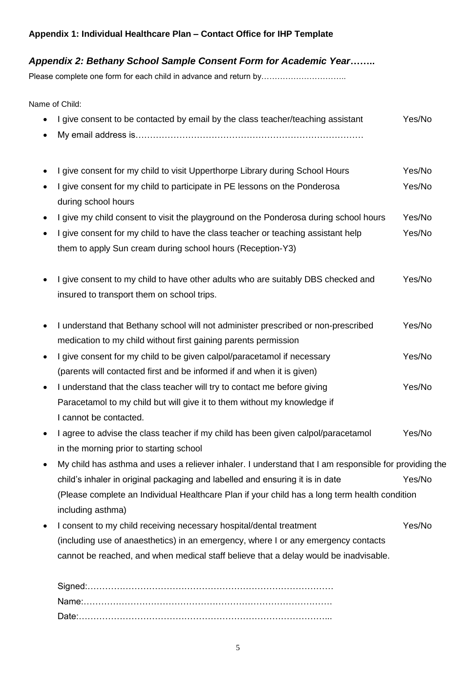# **Appendix 1: Individual Healthcare Plan – Contact Office for IHP Template**

# *Appendix 2: Bethany School Sample Consent Form for Academic Year***……..**

Please complete one form for each child in advance and return by………………………………

Name of Child:

| • I give consent to be contacted by email by the class teacher/teaching assistant | Yes/No |
|-----------------------------------------------------------------------------------|--------|
|                                                                                   |        |

- I give consent for my child to visit Upperthorpe Library during School Hours Yes/No
- I give consent for my child to participate in PE lessons on the Ponderosa Yes/No during school hours
- I give my child consent to visit the playground on the Ponderosa during school hours Yes/No
- I give consent for my child to have the class teacher or teaching assistant help Yes/No them to apply Sun cream during school hours (Reception-Y3)
- I give consent to my child to have other adults who are suitably DBS checked and Yes/No insured to transport them on school trips.
- I understand that Bethany school will not administer prescribed or non-prescribed Yes/No medication to my child without first gaining parents permission
- I give consent for my child to be given calpol/paracetamol if necessary Yes/No (parents will contacted first and be informed if and when it is given)
- I understand that the class teacher will try to contact me before giving Yes/No Paracetamol to my child but will give it to them without my knowledge if I cannot be contacted.
- I agree to advise the class teacher if my child has been given calpol/paracetamol Yes/No in the morning prior to starting school
- My child has asthma and uses a reliever inhaler. I understand that I am responsible for providing the child's inhaler in original packaging and labelled and ensuring it is in date Yes/No (Please complete an Individual Healthcare Plan if your child has a long term health condition including asthma)
- I consent to my child receiving necessary hospital/dental treatment Yes/No (including use of anaesthetics) in an emergency, where I or any emergency contacts cannot be reached, and when medical staff believe that a delay would be inadvisable.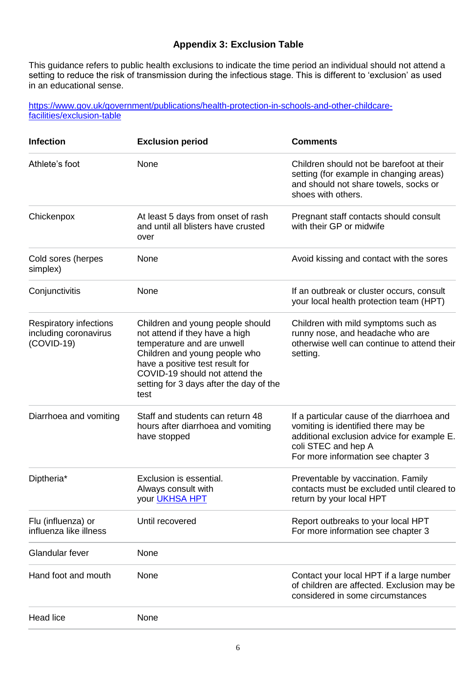# **Appendix 3: Exclusion Table**

This guidance refers to public health exclusions to indicate the time period an individual should not attend a setting to reduce the risk of transmission during the infectious stage. This is different to 'exclusion' as used in an educational sense.

[https://www.gov.uk/government/publications/health-protection-in-schools-and-other-childcare](https://www.gov.uk/government/publications/health-protection-in-schools-and-other-childcare-facilities/exclusion-table)[facilities/exclusion-table](https://www.gov.uk/government/publications/health-protection-in-schools-and-other-childcare-facilities/exclusion-table)

| <b>Infection</b>                                                       | <b>Exclusion period</b>                                                                                                                                                                                                                                   | <b>Comments</b>                                                                                                                                                                              |
|------------------------------------------------------------------------|-----------------------------------------------------------------------------------------------------------------------------------------------------------------------------------------------------------------------------------------------------------|----------------------------------------------------------------------------------------------------------------------------------------------------------------------------------------------|
| Athlete's foot                                                         | None                                                                                                                                                                                                                                                      | Children should not be barefoot at their<br>setting (for example in changing areas)<br>and should not share towels, socks or<br>shoes with others.                                           |
| Chickenpox                                                             | At least 5 days from onset of rash<br>and until all blisters have crusted<br>over                                                                                                                                                                         | Pregnant staff contacts should consult<br>with their GP or midwife                                                                                                                           |
| Cold sores (herpes<br>simplex)                                         | None                                                                                                                                                                                                                                                      | Avoid kissing and contact with the sores                                                                                                                                                     |
| Conjunctivitis                                                         | None                                                                                                                                                                                                                                                      | If an outbreak or cluster occurs, consult<br>your local health protection team (HPT)                                                                                                         |
| <b>Respiratory infections</b><br>including coronavirus<br>$(COVID-19)$ | Children and young people should<br>not attend if they have a high<br>temperature and are unwell<br>Children and young people who<br>have a positive test result for<br>COVID-19 should not attend the<br>setting for 3 days after the day of the<br>test | Children with mild symptoms such as<br>runny nose, and headache who are<br>otherwise well can continue to attend their<br>setting.                                                           |
| Diarrhoea and vomiting                                                 | Staff and students can return 48<br>hours after diarrhoea and vomiting<br>have stopped                                                                                                                                                                    | If a particular cause of the diarrhoea and<br>vomiting is identified there may be<br>additional exclusion advice for example E.<br>coli STEC and hep A<br>For more information see chapter 3 |
| Diptheria*                                                             | Exclusion is essential.<br>Always consult with<br>your <b>UKHSA HPT</b>                                                                                                                                                                                   | Preventable by vaccination. Family<br>contacts must be excluded until cleared to<br>return by your local HPT                                                                                 |
| Flu (influenza) or<br>influenza like illness                           | Until recovered                                                                                                                                                                                                                                           | Report outbreaks to your local HPT<br>For more information see chapter 3                                                                                                                     |
| Glandular fever                                                        | None                                                                                                                                                                                                                                                      |                                                                                                                                                                                              |
| Hand foot and mouth                                                    | None                                                                                                                                                                                                                                                      | Contact your local HPT if a large number<br>of children are affected. Exclusion may be<br>considered in some circumstances                                                                   |
| <b>Head lice</b>                                                       | None                                                                                                                                                                                                                                                      |                                                                                                                                                                                              |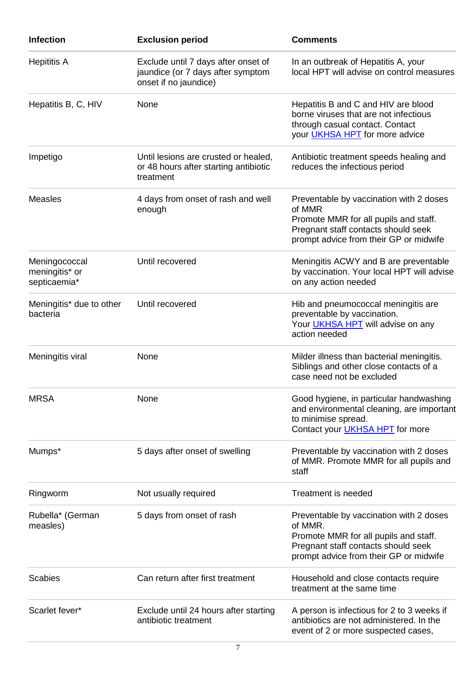| <b>Infection</b>                                | <b>Exclusion period</b>                                                                           | <b>Comments</b>                                                                                                                                                              |
|-------------------------------------------------|---------------------------------------------------------------------------------------------------|------------------------------------------------------------------------------------------------------------------------------------------------------------------------------|
| <b>Hepititis A</b>                              | Exclude until 7 days after onset of<br>jaundice (or 7 days after symptom<br>onset if no jaundice) | In an outbreak of Hepatitis A, your<br>local HPT will advise on control measures                                                                                             |
| Hepatitis B, C, HIV                             | None                                                                                              | Hepatitis B and C and HIV are blood<br>borne viruses that are not infectious<br>through casual contact. Contact<br>your <b>UKHSA HPT</b> for more advice                     |
| Impetigo                                        | Until lesions are crusted or healed,<br>or 48 hours after starting antibiotic<br>treatment        | Antibiotic treatment speeds healing and<br>reduces the infectious period                                                                                                     |
| <b>Measles</b>                                  | 4 days from onset of rash and well<br>enough                                                      | Preventable by vaccination with 2 doses<br>of MMR<br>Promote MMR for all pupils and staff.<br>Pregnant staff contacts should seek<br>prompt advice from their GP or midwife  |
| Meningococcal<br>meningitis* or<br>septicaemia* | Until recovered                                                                                   | Meningitis ACWY and B are preventable<br>by vaccination. Your local HPT will advise<br>on any action needed                                                                  |
| Meningitis* due to other<br>bacteria            | Until recovered                                                                                   | Hib and pneumococcal meningitis are<br>preventable by vaccination.<br>Your <b>UKHSA HPT</b> will advise on any<br>action needed                                              |
| Meningitis viral                                | None                                                                                              | Milder illness than bacterial meningitis.<br>Siblings and other close contacts of a<br>case need not be excluded                                                             |
| <b>MRSA</b>                                     | None                                                                                              | Good hygiene, in particular handwashing<br>and environmental cleaning, are important<br>to minimise spread.<br>Contact your <b>UKHSA HPT</b> for more                        |
| Mumps*                                          | 5 days after onset of swelling                                                                    | Preventable by vaccination with 2 doses<br>of MMR. Promote MMR for all pupils and<br>staff                                                                                   |
| Ringworm                                        | Not usually required                                                                              | <b>Treatment is needed</b>                                                                                                                                                   |
| Rubella* (German<br>measles)                    | 5 days from onset of rash                                                                         | Preventable by vaccination with 2 doses<br>of MMR.<br>Promote MMR for all pupils and staff.<br>Pregnant staff contacts should seek<br>prompt advice from their GP or midwife |
| <b>Scabies</b>                                  | Can return after first treatment                                                                  | Household and close contacts require<br>treatment at the same time                                                                                                           |
| Scarlet fever*                                  | Exclude until 24 hours after starting<br>antibiotic treatment                                     | A person is infectious for 2 to 3 weeks if<br>antibiotics are not administered. In the<br>event of 2 or more suspected cases,                                                |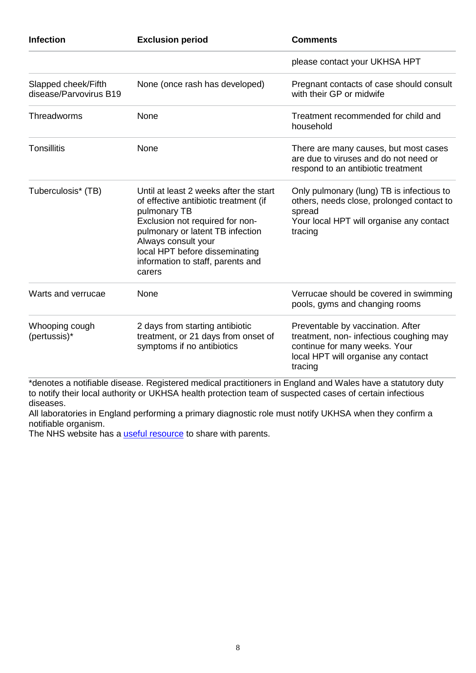| <b>Infection</b>                              | <b>Exclusion period</b>                                                                                                                                                                                                                                                        | <b>Comments</b>                                                                                                                                                 |  |
|-----------------------------------------------|--------------------------------------------------------------------------------------------------------------------------------------------------------------------------------------------------------------------------------------------------------------------------------|-----------------------------------------------------------------------------------------------------------------------------------------------------------------|--|
|                                               |                                                                                                                                                                                                                                                                                | please contact your UKHSA HPT                                                                                                                                   |  |
| Slapped cheek/Fifth<br>disease/Parvovirus B19 | None (once rash has developed)                                                                                                                                                                                                                                                 | Pregnant contacts of case should consult<br>with their GP or midwife                                                                                            |  |
| Threadworms                                   | None                                                                                                                                                                                                                                                                           | Treatment recommended for child and<br>household                                                                                                                |  |
| <b>Tonsillitis</b>                            | None                                                                                                                                                                                                                                                                           | There are many causes, but most cases<br>are due to viruses and do not need or<br>respond to an antibiotic treatment                                            |  |
| Tuberculosis* (TB)                            | Until at least 2 weeks after the start<br>of effective antibiotic treatment (if<br>pulmonary TB<br>Exclusion not required for non-<br>pulmonary or latent TB infection<br>Always consult your<br>local HPT before disseminating<br>information to staff, parents and<br>carers | Only pulmonary (lung) TB is infectious to<br>others, needs close, prolonged contact to<br>spread<br>Your local HPT will organise any contact<br>tracing         |  |
| Warts and verrucae                            | None                                                                                                                                                                                                                                                                           | Verrucae should be covered in swimming<br>pools, gyms and changing rooms                                                                                        |  |
| Whooping cough<br>(pertussis)*                | 2 days from starting antibiotic<br>treatment, or 21 days from onset of<br>symptoms if no antibiotics                                                                                                                                                                           | Preventable by vaccination. After<br>treatment, non- infectious coughing may<br>continue for many weeks. Your<br>local HPT will organise any contact<br>tracing |  |

\*denotes a notifiable disease. Registered medical practitioners in England and Wales have a statutory duty to notify their local authority or UKHSA health protection team of suspected cases of certain infectious diseases.

All laboratories in England performing a primary diagnostic role must notify UKHSA when they confirm a notifiable organism.

The NHS website has a [useful resource](https://www.nhs.uk/live-well/healthy-body/is-my-child-too-ill-for-school/) to share with parents.